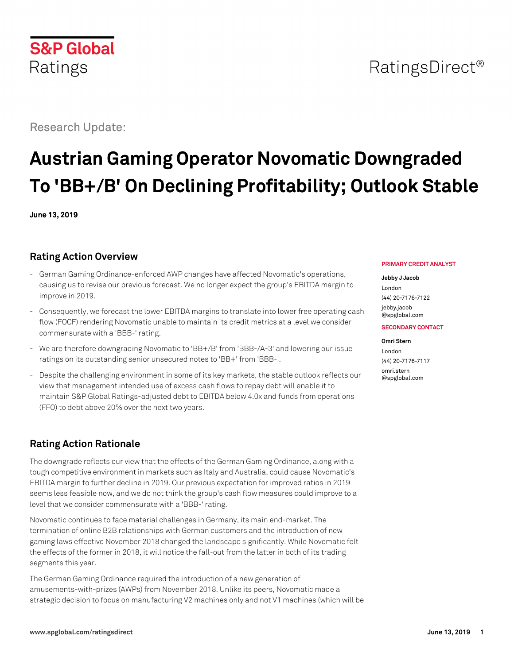

Research Update:

# **Austrian Gaming Operator Novomatic Downgraded To 'BB+/B' On Declining Profitability; Outlook Stable**

**June 13, 2019**

# **Rating Action Overview**

- German Gaming Ordinance-enforced AWP changes have affected Novomatic's operations, causing us to revise our previous forecast. We no longer expect the group's EBITDA margin to improve in 2019.
- Consequently, we forecast the lower EBITDA margins to translate into lower free operating cash flow (FOCF) rendering Novomatic unable to maintain its credit metrics at a level we consider commensurate with a 'BBB-' rating.
- We are therefore downgrading Novomatic to 'BB+/B' from 'BBB-/A-3' and lowering our issue ratings on its outstanding senior unsecured notes to 'BB+' from 'BBB-'.
- Despite the challenging environment in some of its key markets, the stable outlook reflects our view that management intended use of excess cash flows to repay debt will enable it to maintain S&P Global Ratings-adjusted debt to EBITDA below 4.0x and funds from operations (FFO) to debt above 20% over the next two years.

# **Rating Action Rationale**

The downgrade reflects our view that the effects of the German Gaming Ordinance, along with a tough competitive environment in markets such as Italy and Australia, could cause Novomatic's EBITDA margin to further decline in 2019. Our previous expectation for improved ratios in 2019 seems less feasible now, and we do not think the group's cash flow measures could improve to a level that we consider commensurate with a 'BBB-' rating.

Novomatic continues to face material challenges in Germany, its main end-market. The termination of online B2B relationships with German customers and the introduction of new gaming laws effective November 2018 changed the landscape significantly. While Novomatic felt the effects of the former in 2018, it will notice the fall-out from the latter in both of its trading segments this year.

The German Gaming Ordinance required the introduction of a new generation of amusements-with-prizes (AWPs) from November 2018. Unlike its peers, Novomatic made a strategic decision to focus on manufacturing V2 machines only and not V1 machines (which will be

#### **PRIMARY CREDIT ANALYST**

#### **Jebby J Jacob**

London (44) 20-7176-7122 [jebby.jacob](mailto:jebby.jacob@spglobal.com)

[@spglobal.com](mailto:jebby.jacob@spglobal.com)

#### **SECONDARY CONTACT**

# **Omri Stern** London

(44) 20-7176-7117 [omri.stern](mailto:omri.stern@spglobal.com) [@spglobal.com](mailto:omri.stern@spglobal.com)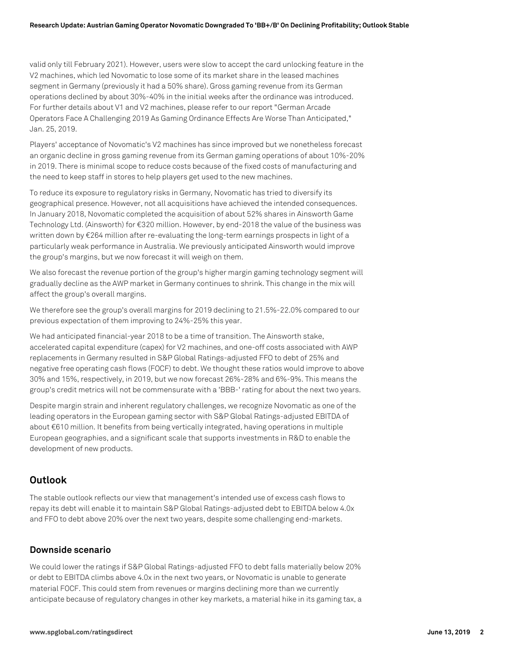valid only till February 2021). However, users were slow to accept the card unlocking feature in the V2 machines, which led Novomatic to lose some of its market share in the leased machines segment in Germany (previously it had a 50% share). Gross gaming revenue from its German operations declined by about 30%-40% in the initial weeks after the ordinance was introduced. For further details about V1 and V2 machines, please refer to our report "German Arcade Operators Face A Challenging 2019 As Gaming Ordinance Effects Are Worse Than Anticipated," Jan. 25, 2019.

Players' acceptance of Novomatic's V2 machines has since improved but we nonetheless forecast an organic decline in gross gaming revenue from its German gaming operations of about 10%-20% in 2019. There is minimal scope to reduce costs because of the fixed costs of manufacturing and the need to keep staff in stores to help players get used to the new machines.

To reduce its exposure to regulatory risks in Germany, Novomatic has tried to diversify its geographical presence. However, not all acquisitions have achieved the intended consequences. In January 2018, Novomatic completed the acquisition of about 52% shares in Ainsworth Game Technology Ltd. (Ainsworth) for €320 million. However, by end-2018 the value of the business was written down by €264 million after re-evaluating the long-term earnings prospects in light of a particularly weak performance in Australia. We previously anticipated Ainsworth would improve the group's margins, but we now forecast it will weigh on them.

We also forecast the revenue portion of the group's higher margin gaming technology segment will gradually decline as the AWP market in Germany continues to shrink. This change in the mix will affect the group's overall margins.

We therefore see the group's overall margins for 2019 declining to 21.5%-22.0% compared to our previous expectation of them improving to 24%-25% this year.

We had anticipated financial-year 2018 to be a time of transition. The Ainsworth stake, accelerated capital expenditure (capex) for V2 machines, and one-off costs associated with AWP replacements in Germany resulted in S&P Global Ratings-adjusted FFO to debt of 25% and negative free operating cash flows (FOCF) to debt. We thought these ratios would improve to above 30% and 15%, respectively, in 2019, but we now forecast 26%-28% and 6%-9%. This means the group's credit metrics will not be commensurate with a 'BBB-' rating for about the next two years.

Despite margin strain and inherent regulatory challenges, we recognize Novomatic as one of the leading operators in the European gaming sector with S&P Global Ratings-adjusted EBITDA of about €610 million. It benefits from being vertically integrated, having operations in multiple European geographies, and a significant scale that supports investments in R&D to enable the development of new products.

# **Outlook**

The stable outlook reflects our view that management's intended use of excess cash flows to repay its debt will enable it to maintain S&P Global Ratings-adjusted debt to EBITDA below 4.0x and FFO to debt above 20% over the next two years, despite some challenging end-markets.

#### **Downside scenario**

We could lower the ratings if S&P Global Ratings-adjusted FFO to debt falls materially below 20% or debt to EBITDA climbs above 4.0x in the next two years, or Novomatic is unable to generate material FOCF. This could stem from revenues or margins declining more than we currently anticipate because of regulatory changes in other key markets, a material hike in its gaming tax, a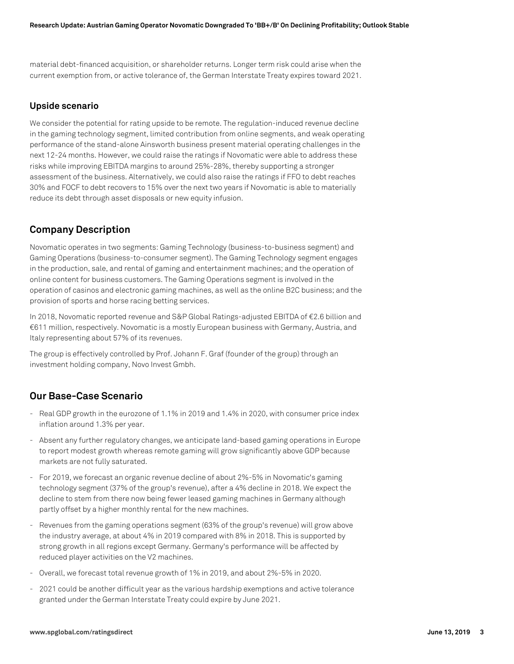material debt-financed acquisition, or shareholder returns. Longer term risk could arise when the current exemption from, or active tolerance of, the German Interstate Treaty expires toward 2021.

### **Upside scenario**

We consider the potential for rating upside to be remote. The regulation-induced revenue decline in the gaming technology segment, limited contribution from online segments, and weak operating performance of the stand-alone Ainsworth business present material operating challenges in the next 12-24 months. However, we could raise the ratings if Novomatic were able to address these risks while improving EBITDA margins to around 25%-28%, thereby supporting a stronger assessment of the business. Alternatively, we could also raise the ratings if FFO to debt reaches 30% and FOCF to debt recovers to 15% over the next two years if Novomatic is able to materially reduce its debt through asset disposals or new equity infusion.

# **Company Description**

Novomatic operates in two segments: Gaming Technology (business-to-business segment) and Gaming Operations (business-to-consumer segment). The Gaming Technology segment engages in the production, sale, and rental of gaming and entertainment machines; and the operation of online content for business customers. The Gaming Operations segment is involved in the operation of casinos and electronic gaming machines, as well as the online B2C business; and the provision of sports and horse racing betting services.

In 2018, Novomatic reported revenue and S&P Global Ratings-adjusted EBITDA of €2.6 billion and €611 million, respectively. Novomatic is a mostly European business with Germany, Austria, and Italy representing about 57% of its revenues.

The group is effectively controlled by Prof. Johann F. Graf (founder of the group) through an investment holding company, Novo Invest Gmbh.

# **Our Base-Case Scenario**

- Real GDP growth in the eurozone of 1.1% in 2019 and 1.4% in 2020, with consumer price index inflation around 1.3% per year.
- Absent any further regulatory changes, we anticipate land-based gaming operations in Europe to report modest growth whereas remote gaming will grow significantly above GDP because markets are not fully saturated.
- For 2019, we forecast an organic revenue decline of about 2%-5% in Novomatic's gaming technology segment (37% of the group's revenue), after a 4% decline in 2018. We expect the decline to stem from there now being fewer leased gaming machines in Germany although partly offset by a higher monthly rental for the new machines.
- Revenues from the gaming operations segment (63% of the group's revenue) will grow above the industry average, at about 4% in 2019 compared with 8% in 2018. This is supported by strong growth in all regions except Germany. Germany's performance will be affected by reduced player activities on the V2 machines.
- Overall, we forecast total revenue growth of 1% in 2019, and about 2%-5% in 2020.
- 2021 could be another difficult year as the various hardship exemptions and active tolerance granted under the German Interstate Treaty could expire by June 2021.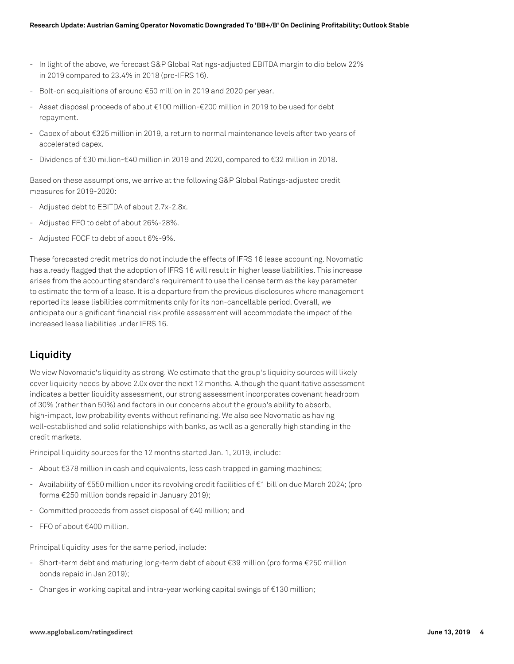- In light of the above, we forecast S&P Global Ratings-adjusted EBITDA margin to dip below 22% in 2019 compared to 23.4% in 2018 (pre-IFRS 16).
- Bolt-on acquisitions of around €50 million in 2019 and 2020 per year.
- Asset disposal proceeds of about €100 million-€200 million in 2019 to be used for debt repayment.
- Capex of about €325 million in 2019, a return to normal maintenance levels after two years of accelerated capex.
- Dividends of €30 million-€40 million in 2019 and 2020, compared to €32 million in 2018.

Based on these assumptions, we arrive at the following S&P Global Ratings-adjusted credit measures for 2019-2020:

- Adjusted debt to EBITDA of about 2.7x-2.8x.
- Adjusted FFO to debt of about 26%-28%.
- Adjusted FOCF to debt of about 6%-9%.

These forecasted credit metrics do not include the effects of IFRS 16 lease accounting. Novomatic has already flagged that the adoption of IFRS 16 will result in higher lease liabilities. This increase arises from the accounting standard's requirement to use the license term as the key parameter to estimate the term of a lease. It is a departure from the previous disclosures where management reported its lease liabilities commitments only for its non-cancellable period. Overall, we anticipate our significant financial risk profile assessment will accommodate the impact of the increased lease liabilities under IFRS 16.

# **Liquidity**

We view Novomatic's liquidity as strong. We estimate that the group's liquidity sources will likely cover liquidity needs by above 2.0x over the next 12 months. Although the quantitative assessment indicates a better liquidity assessment, our strong assessment incorporates covenant headroom of 30% (rather than 50%) and factors in our concerns about the group's ability to absorb, high-impact, low probability events without refinancing. We also see Novomatic as having well-established and solid relationships with banks, as well as a generally high standing in the credit markets.

Principal liquidity sources for the 12 months started Jan. 1, 2019, include:

- About €378 million in cash and equivalents, less cash trapped in gaming machines;
- Availability of €550 million under its revolving credit facilities of €1 billion due March 2024; (pro forma €250 million bonds repaid in January 2019);
- Committed proceeds from asset disposal of €40 million; and
- FFO of about €400 million.

Principal liquidity uses for the same period, include:

- Short-term debt and maturing long-term debt of about €39 million (pro forma €250 million bonds repaid in Jan 2019);
- Changes in working capital and intra-year working capital swings of €130 million;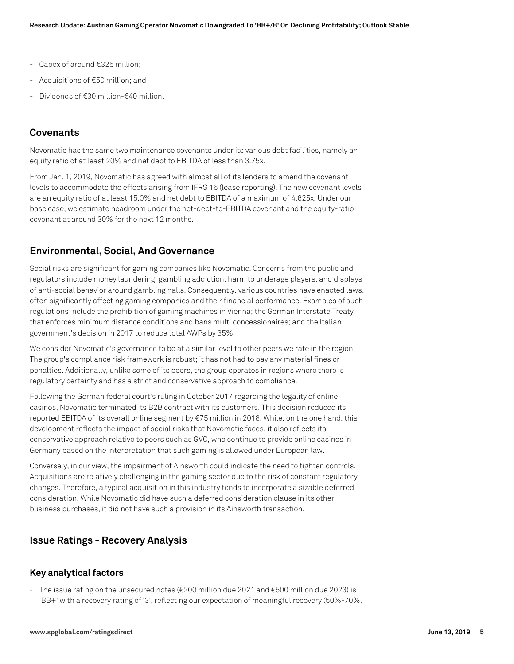- Capex of around €325 million;
- Acquisitions of €50 million; and
- Dividends of €30 million-€40 million.

# **Covenants**

Novomatic has the same two maintenance covenants under its various debt facilities, namely an equity ratio of at least 20% and net debt to EBITDA of less than 3.75x.

From Jan. 1, 2019, Novomatic has agreed with almost all of its lenders to amend the covenant levels to accommodate the effects arising from IFRS 16 (lease reporting). The new covenant levels are an equity ratio of at least 15.0% and net debt to EBITDA of a maximum of 4.625x. Under our base case, we estimate headroom under the net-debt-to-EBITDA covenant and the equity-ratio covenant at around 30% for the next 12 months.

# **Environmental, Social, And Governance**

Social risks are significant for gaming companies like Novomatic. Concerns from the public and regulators include money laundering, gambling addiction, harm to underage players, and displays of anti-social behavior around gambling halls. Consequently, various countries have enacted laws, often significantly affecting gaming companies and their financial performance. Examples of such regulations include the prohibition of gaming machines in Vienna; the German Interstate Treaty that enforces minimum distance conditions and bans multi concessionaires; and the Italian government's decision in 2017 to reduce total AWPs by 35%.

We consider Novomatic's governance to be at a similar level to other peers we rate in the region. The group's compliance risk framework is robust; it has not had to pay any material fines or penalties. Additionally, unlike some of its peers, the group operates in regions where there is regulatory certainty and has a strict and conservative approach to compliance.

Following the German federal court's ruling in October 2017 regarding the legality of online casinos, Novomatic terminated its B2B contract with its customers. This decision reduced its reported EBITDA of its overall online segment by €75 million in 2018. While, on the one hand, this development reflects the impact of social risks that Novomatic faces, it also reflects its conservative approach relative to peers such as GVC, who continue to provide online casinos in Germany based on the interpretation that such gaming is allowed under European law.

Conversely, in our view, the impairment of Ainsworth could indicate the need to tighten controls. Acquisitions are relatively challenging in the gaming sector due to the risk of constant regulatory changes. Therefore, a typical acquisition in this industry tends to incorporate a sizable deferred consideration. While Novomatic did have such a deferred consideration clause in its other business purchases, it did not have such a provision in its Ainsworth transaction.

# **Issue Ratings - Recovery Analysis**

## **Key analytical factors**

- The issue rating on the unsecured notes (€200 million due 2021 and €500 million due 2023) is 'BB+' with a recovery rating of '3', reflecting our expectation of meaningful recovery (50%-70%,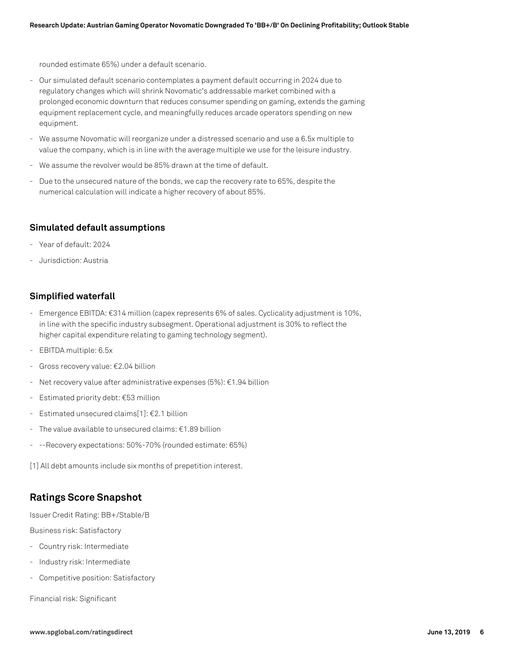rounded estimate 65%) under a default scenario.

- Our simulated default scenario contemplates a payment default occurring in 2024 due to regulatory changes which will shrink Novomatic's addressable market combined with a prolonged economic downturn that reduces consumer spending on gaming, extends the gaming equipment replacement cycle, and meaningfully reduces arcade operators spending on new equipment.
- We assume Novomatic will reorganize under a distressed scenario and use a 6.5x multiple to value the company, which is in line with the average multiple we use for the leisure industry.
- We assume the revolver would be 85% drawn at the time of default.
- Due to the unsecured nature of the bonds, we cap the recovery rate to 65%, despite the numerical calculation will indicate a higher recovery of about 85%.

### **Simulated default assumptions**

- Year of default: 2024
- Jurisdiction: Austria

## **Simplified waterfall**

- Emergence EBITDA: €314 million (capex represents 6% of sales. Cyclicality adjustment is 10%, in line with the specific industry subsegment. Operational adjustment is 30% to reflect the higher capital expenditure relating to gaming technology segment).
- EBITDA multiple: 6.5x
- Gross recovery value: €2.04 billion
- Net recovery value after administrative expenses (5%): €1.94 billion
- Estimated priority debt: €53 million
- Estimated unsecured claims[1]:  $E$ 2.1 billion
- The value available to unsecured claims: €1.89 billion
- --Recovery expectations: 50%-70% (rounded estimate: 65%)

[1] All debt amounts include six months of prepetition interest.

# **Ratings Score Snapshot**

Issuer Credit Rating: BB+/Stable/B

Business risk: Satisfactory

- Country risk: Intermediate
- Industry risk: Intermediate
- Competitive position: Satisfactory

Financial risk: Significant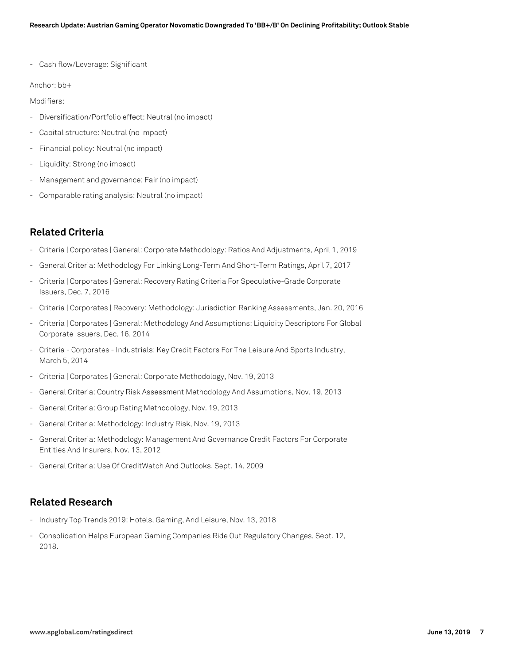- Cash flow/Leverage: Significant

Anchor: bb+

Modifiers:

- Diversification/Portfolio effect: Neutral (no impact)
- Capital structure: Neutral (no impact)
- Financial policy: Neutral (no impact)
- Liquidity: Strong (no impact)
- Management and governance: Fair (no impact)
- Comparable rating analysis: Neutral (no impact)

# **Related Criteria**

- Criteria | Corporates | General: Corporate Methodology: Ratios And Adjustments, April 1, 2019
- General Criteria: Methodology For Linking Long-Term And Short-Term Ratings, April 7, 2017
- Criteria | Corporates | General: Recovery Rating Criteria For Speculative-Grade Corporate Issuers, Dec. 7, 2016
- Criteria | Corporates | Recovery: Methodology: Jurisdiction Ranking Assessments, Jan. 20, 2016
- Criteria | Corporates | General: Methodology And Assumptions: Liquidity Descriptors For Global Corporate Issuers, Dec. 16, 2014
- Criteria Corporates Industrials: Key Credit Factors For The Leisure And Sports Industry, March 5, 2014
- Criteria | Corporates | General: Corporate Methodology, Nov. 19, 2013
- General Criteria: Country Risk Assessment Methodology And Assumptions, Nov. 19, 2013
- General Criteria: Group Rating Methodology, Nov. 19, 2013
- General Criteria: Methodology: Industry Risk, Nov. 19, 2013
- General Criteria: Methodology: Management And Governance Credit Factors For Corporate Entities And Insurers, Nov. 13, 2012
- General Criteria: Use Of CreditWatch And Outlooks, Sept. 14, 2009

# **Related Research**

- Industry Top Trends 2019: Hotels, Gaming, And Leisure, Nov. 13, 2018
- Consolidation Helps European Gaming Companies Ride Out Regulatory Changes, Sept. 12, 2018.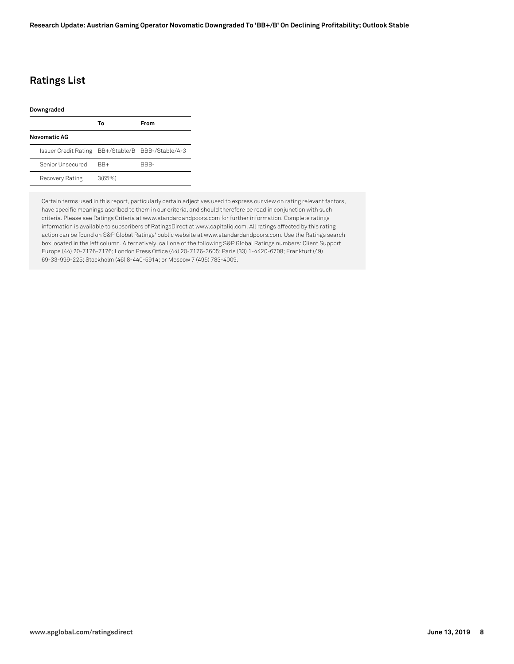# **Ratings List**

| Downgraded                                        |        |      |
|---------------------------------------------------|--------|------|
|                                                   | Т٥     | From |
| Novomatic AG                                      |        |      |
| Issuer Credit Rating BB+/Stable/B BBB-/Stable/A-3 |        |      |
| Senior Unsecured                                  | $BR+$  | RRR- |
| Recovery Rating                                   | 3(65%) |      |

Certain terms used in this report, particularly certain adjectives used to express our view on rating relevant factors, have specific meanings ascribed to them in our criteria, and should therefore be read in conjunction with such criteria. Please see Ratings Criteria at www.standardandpoors.com for further information. Complete ratings information is available to subscribers of RatingsDirect at www.capitaliq.com. All ratings affected by this rating action can be found on S&P Global Ratings' public website at www.standardandpoors.com. Use the Ratings search box located in the left column. Alternatively, call one of the following S&P Global Ratings numbers: Client Support Europe (44) 20-7176-7176; London Press Office (44) 20-7176-3605; Paris (33) 1-4420-6708; Frankfurt (49) 69-33-999-225; Stockholm (46) 8-440-5914; or Moscow 7 (495) 783-4009.